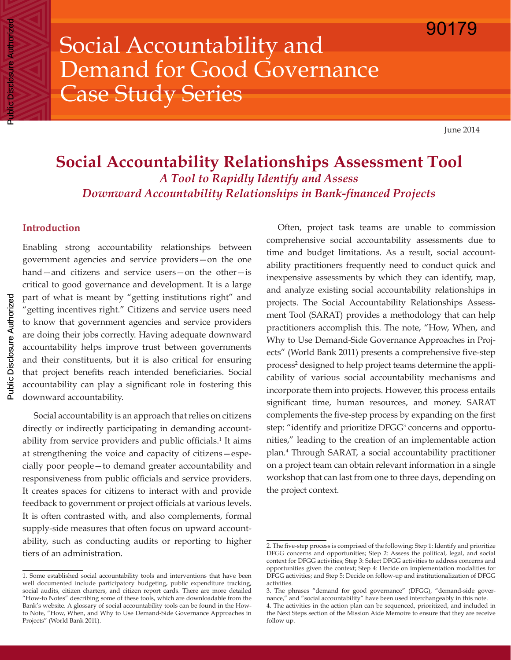Social Accountability and Demand for Good Governance Case Study Series

June 2014

# **Social Accountability Relationships Assessment Tool** *A Tool to Rapidly Identify and Assess Downward Accountability Relationships in Bank-financed Projects*

## **Introduction**

Enabling strong accountability relationships between government agencies and service providers—on the one hand—and citizens and service users—on the other—is critical to good governance and development. It is a large part of what is meant by "getting institutions right" and "getting incentives right." Citizens and service users need to know that government agencies and service providers are doing their jobs correctly. Having adequate downward accountability helps improve trust between governments and their constituents, but it is also critical for ensuring that project benefits reach intended beneficiaries. Social accountability can play a significant role in fostering this downward accountability.

Social accountability is an approach that relies on citizens directly or indirectly participating in demanding accountability from service providers and public officials.<sup>1</sup> It aims at strengthening the voice and capacity of citizens—especially poor people—to demand greater accountability and responsiveness from public officials and service providers. It creates spaces for citizens to interact with and provide feedback to government or project officials at various levels. It is often contrasted with, and also complements, formal supply-side measures that often focus on upward accountability, such as conducting audits or reporting to higher tiers of an administration.

Often, project task teams are unable to commission comprehensive social accountability assessments due to time and budget limitations. As a result, social accountability practitioners frequently need to conduct quick and inexpensive assessments by which they can identify, map, and analyze existing social accountability relationships in projects. The Social Accountability Relationships Assessment Tool (SARAT) provides a methodology that can help practitioners accomplish this. The note, "How, When, and Why to Use Demand-Side Governance Approaches in Projects" (World Bank 2011) presents a comprehensive five-step process<sup>2</sup> designed to help project teams determine the applicability of various social accountability mechanisms and incorporate them into projects. However, this process entails significant time, human resources, and money. SARAT complements the five-step process by expanding on the first step: "identify and prioritize DFGG<sup>3</sup> concerns and opportunities," leading to the creation of an implementable action plan.4 Through SARAT, a social accountability practitioner on a project team can obtain relevant information in a single workshop that can last from one to three days, depending on the project context.

Public Disclosure Authorized

c Disclosure Authorized

<sup>1.</sup> Some established social accountability tools and interventions that have been well documented include participatory budgeting, public expenditure tracking, social audits, citizen charters, and citizen report cards. There are more detailed "How-to Notes" describing some of these tools, which are downloadable from the Bank's website. A glossary of social accountability tools can be found in the Howto Note, "How, When, and Why to Use Demand-Side Governance Approaches in Projects" (World Bank 2011).

<sup>2.</sup> The five-step process is comprised of the following: Step 1: Identify and prioritize DFGG concerns and opportunities; Step 2: Assess the political, legal, and social context for DFGG activities; Step 3: Select DFGG activities to address concerns and opportunities given the context; Step 4: Decide on implementation modalities for DFGG activities; and Step 5: Decide on follow-up and institutionalization of DFGG activities.

<sup>3.</sup> The phrases "demand for good governance" (DFGG), "demand-side governance," and "social accountability" have been used interchangeably in this note.

<sup>4.</sup> The activities in the action plan can be sequenced, prioritized, and included in the Next Steps section of the Mission Aide Memoire to ensure that they are receive follow up.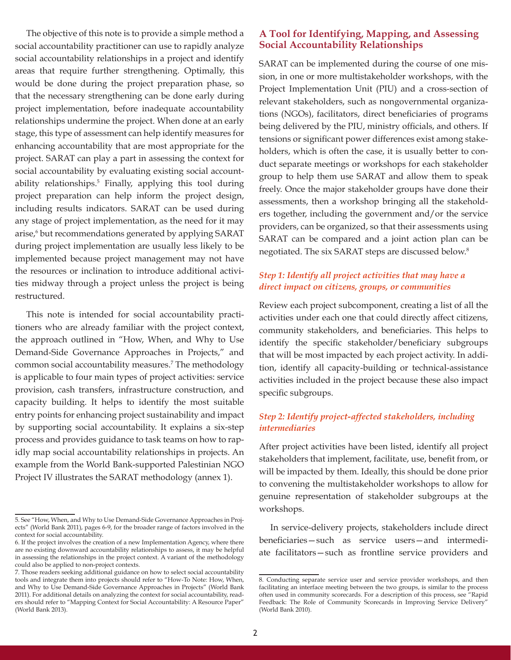The objective of this note is to provide a simple method a social accountability practitioner can use to rapidly analyze social accountability relationships in a project and identify areas that require further strengthening. Optimally, this would be done during the project preparation phase, so that the necessary strengthening can be done early during project implementation, before inadequate accountability relationships undermine the project. When done at an early stage, this type of assessment can help identify measures for enhancing accountability that are most appropriate for the project. SARAT can play a part in assessing the context for social accountability by evaluating existing social accountability relationships.<sup>5</sup> Finally, applying this tool during project preparation can help inform the project design, including results indicators. SARAT can be used during any stage of project implementation, as the need for it may arise,6 but recommendations generated by applying SARAT during project implementation are usually less likely to be implemented because project management may not have the resources or inclination to introduce additional activities midway through a project unless the project is being restructured.

This note is intended for social accountability practitioners who are already familiar with the project context, the approach outlined in "How, When, and Why to Use Demand-Side Governance Approaches in Projects," and common social accountability measures.7 The methodology is applicable to four main types of project activities: service provision, cash transfers, infrastructure construction, and capacity building. It helps to identify the most suitable entry points for enhancing project sustainability and impact by supporting social accountability. It explains a six-step process and provides guidance to task teams on how to rapidly map social accountability relationships in projects. An example from the World Bank-supported Palestinian NGO Project IV illustrates the SARAT methodology (annex 1).

## **A Tool for Identifying, Mapping, and Assessing Social Accountability Relationships**

SARAT can be implemented during the course of one mission, in one or more multistakeholder workshops, with the Project Implementation Unit (PIU) and a cross-section of relevant stakeholders, such as nongovernmental organizations (NGOs), facilitators, direct beneficiaries of programs being delivered by the PIU, ministry officials, and others. If tensions or significant power differences exist among stakeholders, which is often the case, it is usually better to conduct separate meetings or workshops for each stakeholder group to help them use SARAT and allow them to speak freely. Once the major stakeholder groups have done their assessments, then a workshop bringing all the stakeholders together, including the government and/or the service providers, can be organized, so that their assessments using SARAT can be compared and a joint action plan can be negotiated. The six SARAT steps are discussed below.8

# *Step 1: Identify all project activities that may have a direct impact on citizens, groups, or communities*

Review each project subcomponent, creating a list of all the activities under each one that could directly affect citizens, community stakeholders, and beneficiaries. This helps to identify the specific stakeholder/beneficiary subgroups that will be most impacted by each project activity. In addition, identify all capacity-building or technical-assistance activities included in the project because these also impact specific subgroups.

# *Step 2: Identify project-affected stakeholders, including intermediaries*

After project activities have been listed, identify all project stakeholders that implement, facilitate, use, benefit from, or will be impacted by them. Ideally, this should be done prior to convening the multistakeholder workshops to allow for genuine representation of stakeholder subgroups at the workshops.

In service-delivery projects, stakeholders include direct beneficiaries—such as service users—and intermediate facilitators—such as frontline service providers and

<sup>5.</sup> See "How, When, and Why to Use Demand-Side Governance Approaches in Projects" (World Bank 2011), pages 6-9, for the broader range of factors involved in the context for social accountability.

<sup>6.</sup> If the project involves the creation of a new Implementation Agency, where there are no existing downward accountability relationships to assess, it may be helpful in assessing the relationships in the project context. A variant of the methodology could also be applied to non-project contexts.

<sup>7.</sup> Those readers seeking additional guidance on how to select social accountability tools and integrate them into projects should refer to "How-To Note: How, When, and Why to Use Demand-Side Governance Approaches in Projects" (World Bank 2011). For additional details on analyzing the context for social accountability, readers should refer to "Mapping Context for Social Accountability: A Resource Paper" (World Bank 2013).

<sup>8.</sup> Conducting separate service user and service provider workshops, and then facilitating an interface meeting between the two groups, is similar to the process often used in community scorecards. For a description of this process, see "Rapid Feedback: The Role of Community Scorecards in Improving Service Delivery" (World Bank 2010).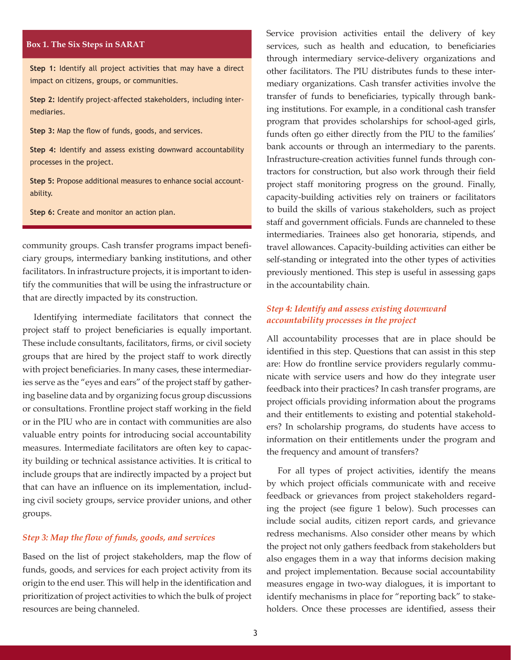#### **Box 1. The Six Steps in SARAT**

**Step 1:** Identify all project activities that may have a direct impact on citizens, groups, or communities.

**Step 2:** Identify project-affected stakeholders, including intermediaries.

**Step 3:** Map the flow of funds, goods, and services.

**Step 4:** Identify and assess existing downward accountability processes in the project.

**Step 5:** Propose additional measures to enhance social accountability.

**Step 6:** Create and monitor an action plan.

community groups. Cash transfer programs impact beneficiary groups, intermediary banking institutions, and other facilitators. In infrastructure projects, it is important to identify the communities that will be using the infrastructure or that are directly impacted by its construction.

Identifying intermediate facilitators that connect the project staff to project beneficiaries is equally important. These include consultants, facilitators, firms, or civil society groups that are hired by the project staff to work directly with project beneficiaries. In many cases, these intermediaries serve as the "eyes and ears" of the project staff by gathering baseline data and by organizing focus group discussions or consultations. Frontline project staff working in the field or in the PIU who are in contact with communities are also valuable entry points for introducing social accountability measures. Intermediate facilitators are often key to capacity building or technical assistance activities. It is critical to include groups that are indirectly impacted by a project but that can have an influence on its implementation, including civil society groups, service provider unions, and other groups.

#### *Step 3: Map the flow of funds, goods, and services*

Based on the list of project stakeholders, map the flow of funds, goods, and services for each project activity from its origin to the end user. This will help in the identification and prioritization of project activities to which the bulk of project resources are being channeled.

Service provision activities entail the delivery of key services, such as health and education, to beneficiaries through intermediary service-delivery organizations and other facilitators. The PIU distributes funds to these intermediary organizations. Cash transfer activities involve the transfer of funds to beneficiaries, typically through banking institutions. For example, in a conditional cash transfer program that provides scholarships for school-aged girls, funds often go either directly from the PIU to the families' bank accounts or through an intermediary to the parents. Infrastructure-creation activities funnel funds through contractors for construction, but also work through their field project staff monitoring progress on the ground. Finally, capacity-building activities rely on trainers or facilitators to build the skills of various stakeholders, such as project staff and government officials. Funds are channeled to these intermediaries. Trainees also get honoraria, stipends, and travel allowances. Capacity-building activities can either be self-standing or integrated into the other types of activities previously mentioned. This step is useful in assessing gaps in the accountability chain.

#### *Step 4: Identify and assess existing downward accountability processes in the project*

All accountability processes that are in place should be identified in this step. Questions that can assist in this step are: How do frontline service providers regularly communicate with service users and how do they integrate user feedback into their practices? In cash transfer programs, are project officials providing information about the programs and their entitlements to existing and potential stakeholders? In scholarship programs, do students have access to information on their entitlements under the program and the frequency and amount of transfers?

For all types of project activities, identify the means by which project officials communicate with and receive feedback or grievances from project stakeholders regarding the project (see figure 1 below). Such processes can include social audits, citizen report cards, and grievance redress mechanisms. Also consider other means by which the project not only gathers feedback from stakeholders but also engages them in a way that informs decision making and project implementation. Because social accountability measures engage in two-way dialogues, it is important to identify mechanisms in place for "reporting back" to stakeholders. Once these processes are identified, assess their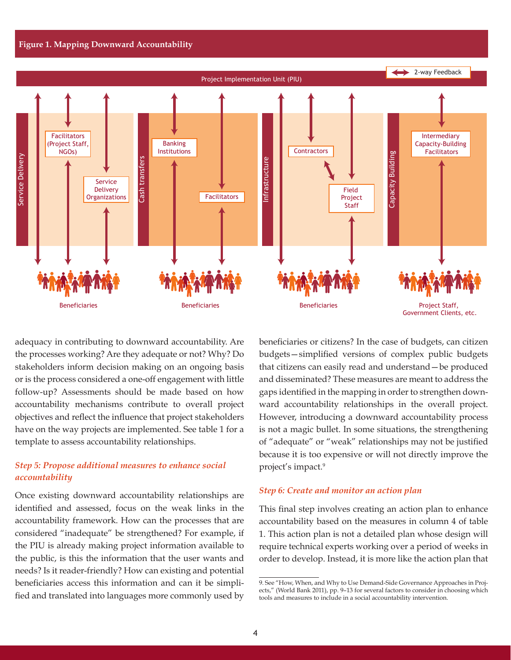

adequacy in contributing to downward accountability. Are the processes working? Are they adequate or not? Why? Do stakeholders inform decision making on an ongoing basis or is the process considered a one-off engagement with little follow-up? Assessments should be made based on how accountability mechanisms contribute to overall project objectives and reflect the influence that project stakeholders have on the way projects are implemented. See table 1 for a template to assess accountability relationships.

## *Step 5: Propose additional measures to enhance social accountability*

Once existing downward accountability relationships are identified and assessed, focus on the weak links in the accountability framework. How can the processes that are considered "inadequate" be strengthened? For example, if the PIU is already making project information available to the public, is this the information that the user wants and needs? Is it reader-friendly? How can existing and potential beneficiaries access this information and can it be simplified and translated into languages more commonly used by beneficiaries or citizens? In the case of budgets, can citizen budgets—simplified versions of complex public budgets that citizens can easily read and understand—be produced and disseminated? These measures are meant to address the gaps identified in the mapping in order to strengthen downward accountability relationships in the overall project. However, introducing a downward accountability process is not a magic bullet. In some situations, the strengthening of "adequate" or "weak" relationships may not be justified because it is too expensive or will not directly improve the project's impact.9

#### *Step 6: Create and monitor an action plan*

This final step involves creating an action plan to enhance accountability based on the measures in column 4 of table 1. This action plan is not a detailed plan whose design will require technical experts working over a period of weeks in order to develop. Instead, it is more like the action plan that

<sup>9.</sup> See "How, When, and Why to Use Demand-Side Governance Approaches in Projects," (World Bank 2011), pp. 9–13 for several factors to consider in choosing which tools and measures to include in a social accountability intervention.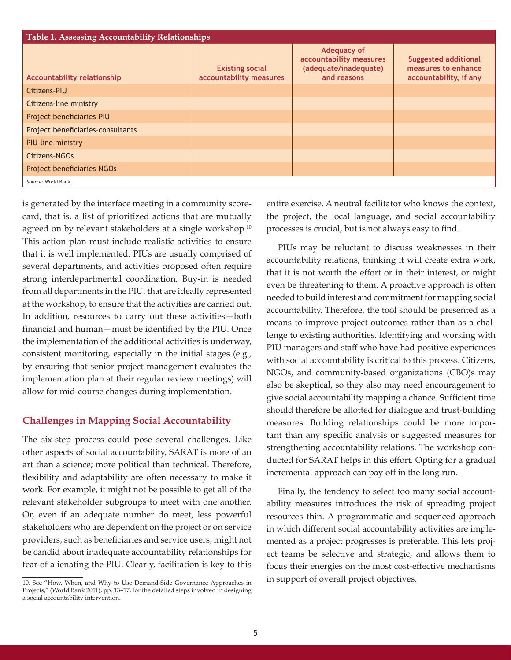| Table 1. Assessing Accountability Relationships |                                                   |                                                                                       |                                                                              |  |  |
|-------------------------------------------------|---------------------------------------------------|---------------------------------------------------------------------------------------|------------------------------------------------------------------------------|--|--|
| <b>Accountability relationship</b>              | <b>Existing social</b><br>accountability measures | <b>Adequacy of</b><br>accountability measures<br>(adequate/inadequate)<br>and reasons | <b>Suggested additional</b><br>measures to enhance<br>accountability, if any |  |  |
| Citizens-PIU                                    |                                                   |                                                                                       |                                                                              |  |  |
| Citizens-line ministry                          |                                                   |                                                                                       |                                                                              |  |  |
| Project beneficiaries-PIU                       |                                                   |                                                                                       |                                                                              |  |  |
| Project beneficiaries-consultants               |                                                   |                                                                                       |                                                                              |  |  |
| <b>PIU-line ministry</b>                        |                                                   |                                                                                       |                                                                              |  |  |
| Citizens-NGOs                                   |                                                   |                                                                                       |                                                                              |  |  |
| Project beneficiaries-NGOs                      |                                                   |                                                                                       |                                                                              |  |  |
| Source: World Bank.                             |                                                   |                                                                                       |                                                                              |  |  |

is generated by the interface meeting in a community scorecard, that is, a list of prioritized actions that are mutually agreed on by relevant stakeholders at a single workshop.<sup>10</sup> This action plan must include realistic activities to ensure that it is well implemented. PIUs are usually comprised of several departments, and activities proposed often require strong interdepartmental coordination. Buy-in is needed from all departments in the PIU, that are ideally represented at the workshop, to ensure that the activities are carried out. In addition, resources to carry out these activities—both financial and human—must be identified by the PIU. Once the implementation of the additional activities is underway, consistent monitoring, especially in the initial stages (e.g., by ensuring that senior project management evaluates the implementation plan at their regular review meetings) will allow for mid-course changes during implementation.

# **Challenges in Mapping Social Accountability**

The six-step process could pose several challenges. Like other aspects of social accountability, SARAT is more of an art than a science; more political than technical. Therefore, flexibility and adaptability are often necessary to make it work. For example, it might not be possible to get all of the relevant stakeholder subgroups to meet with one another. Or, even if an adequate number do meet, less powerful stakeholders who are dependent on the project or on service providers, such as beneficiaries and service users, might not be candid about inadequate accountability relationships for fear of alienating the PIU. Clearly, facilitation is key to this

entire exercise. A neutral facilitator who knows the context, the project, the local language, and social accountability processes is crucial, but is not always easy to find.

PIUs may be reluctant to discuss weaknesses in their accountability relations, thinking it will create extra work, that it is not worth the effort or in their interest, or might even be threatening to them. A proactive approach is often needed to build interest and commitment for mapping social accountability. Therefore, the tool should be presented as a means to improve project outcomes rather than as a challenge to existing authorities. Identifying and working with PIU managers and staff who have had positive experiences with social accountability is critical to this process. Citizens, NGOs, and community-based organizations (CBO)s may also be skeptical, so they also may need encouragement to give social accountability mapping a chance. Sufficient time should therefore be allotted for dialogue and trust-building measures. Building relationships could be more important than any specific analysis or suggested measures for strengthening accountability relations. The workshop conducted for SARAT helps in this effort. Opting for a gradual incremental approach can pay off in the long run.

Finally, the tendency to select too many social accountability measures introduces the risk of spreading project resources thin. A programmatic and sequenced approach in which different social accountability activities are implemented as a project progresses is preferable. This lets project teams be selective and strategic, and allows them to focus their energies on the most cost-effective mechanisms in support of overall project objectives.

<sup>10.</sup> See "How, When, and Why to Use Demand-Side Governance Approaches in Projects," (World Bank 2011), pp. 13-17, for the detailed steps involved in designing a social accountability intervention.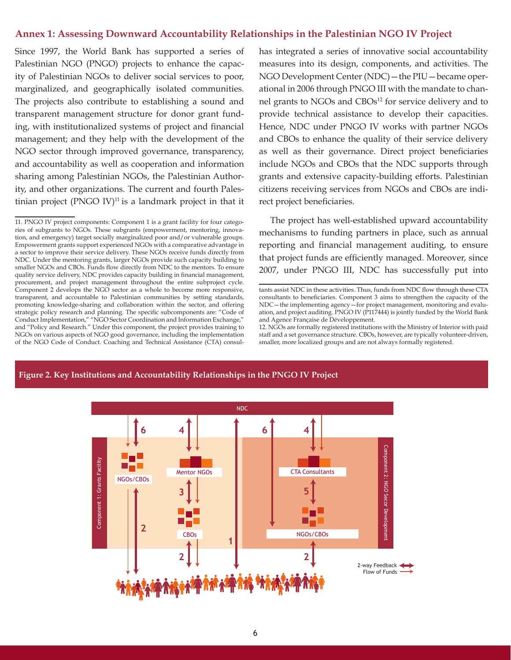#### **Annex 1: Assessing Downward Accountability Relationships in the Palestinian NGO IV Project**

Since 1997, the World Bank has supported a series of Palestinian NGO (PNGO) projects to enhance the capacity of Palestinian NGOs to deliver social services to poor, marginalized, and geographically isolated communities. The projects also contribute to establishing a sound and transparent management structure for donor grant funding, with institutionalized systems of project and financial management; and they help with the development of the NGO sector through improved governance, transparency, and accountability as well as cooperation and information sharing among Palestinian NGOs, the Palestinian Authority, and other organizations. The current and fourth Palestinian project  $(PNGO IV)^{11}$  is a landmark project in that it has integrated a series of innovative social accountability measures into its design, components, and activities. The NGO Development Center (NDC)—the PIU—became operational in 2006 through PNGO III with the mandate to channel grants to NGOs and CBOs<sup>12</sup> for service delivery and to provide technical assistance to develop their capacities. Hence, NDC under PNGO IV works with partner NGOs and CBOs to enhance the quality of their service delivery as well as their governance. Direct project beneficiaries include NGOs and CBOs that the NDC supports through grants and extensive capacity-building efforts. Palestinian citizens receiving services from NGOs and CBOs are indirect project beneficiaries.

The project has well-established upward accountability mechanisms to funding partners in place, such as annual reporting and financial management auditing, to ensure that project funds are efficiently managed. Moreover, since 2007, under PNGO III, NDC has successfully put into

12. NGOs are formally registered institutions with the Ministry of Interior with paid staff and a set governance structure. CBOs, however, are typically volunteer-driven, smaller, more localized groups and are not always formally registered.



#### **Figure 2. Key Institutions and Accountability Relationships in the PNGO IV Project**

<sup>11.</sup> PNGO IV project components: Component 1 is a grant facility for four categories of subgrants to NGOs. These subgrants (empowerment, mentoring, innovation, and emergency) target socially marginalized poor and/or vulnerable groups. Empowerment grants support experienced NGOs with a comparative advantage in a sector to improve their service delivery. These NGOs receive funds directly from NDC. Under the mentoring grants, larger NGOs provide such capacity building to smaller NGOs and CBOs. Funds flow directly from NDC to the mentors. To ensure quality service delivery, NDC provides capacity building in financial management, procurement, and project management throughout the entire subproject cycle. Component 2 develops the NGO sector as a whole to become more responsive, transparent, and accountable to Palestinian communities by setting standards, promoting knowledge-sharing and collaboration within the sector, and offering strategic policy research and planning. The specific subcomponents are: "Code of Conduct Implementation," "NGO Sector Coordination and Information Exchange," and "Policy and Research." Under this component, the project provides training to NGOs on various aspects of NGO good governance, including the implementation of the NGO Code of Conduct. Coaching and Technical Assistance (CTA) consul-

tants assist NDC in these activities. Thus, funds from NDC flow through these CTA consultants to beneficiaries. Component 3 aims to strengthen the capacity of the NDC—the implementing agency—for project management, monitoring and evaluation, and project auditing. PNGO IV (P117444) is jointly funded by the World Bank and Agence Française de Développement.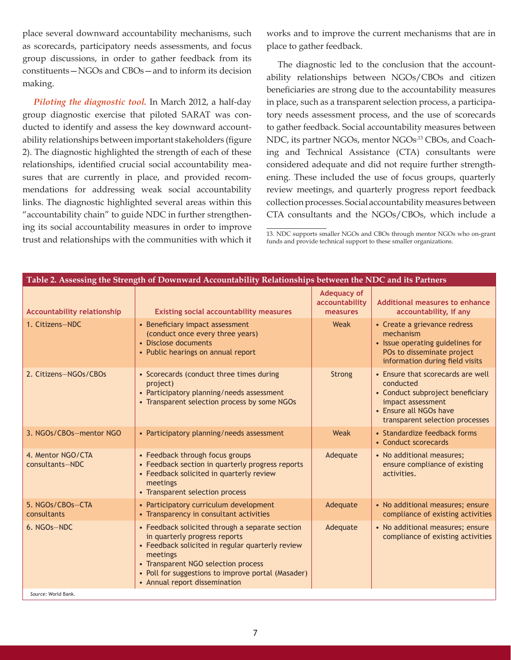place several downward accountability mechanisms, such as scorecards, participatory needs assessments, and focus group discussions, in order to gather feedback from its constituents—NGOs and CBOs—and to inform its decision making.

*Piloting the diagnostic tool.* In March 2012, a half-day group diagnostic exercise that piloted SARAT was conducted to identify and assess the key downward accountability relationships between important stakeholders (figure 2). The diagnostic highlighted the strength of each of these relationships, identified crucial social accountability measures that are currently in place, and provided recommendations for addressing weak social accountability links. The diagnostic highlighted several areas within this "accountability chain" to guide NDC in further strengthening its social accountability measures in order to improve trust and relationships with the communities with which it works and to improve the current mechanisms that are in place to gather feedback.

The diagnostic led to the conclusion that the accountability relationships between NGOs/CBOs and citizen beneficiaries are strong due to the accountability measures in place, such as a transparent selection process, a participatory needs assessment process, and the use of scorecards to gather feedback. Social accountability measures between NDC, its partner NGOs, mentor NGOs<sup>,13</sup> CBOs, and Coaching and Technical Assistance (CTA) consultants were considered adequate and did not require further strengthening. These included the use of focus groups, quarterly review meetings, and quarterly progress report feedback collection processes. Social accountability measures between CTA consultants and the NGOs/CBOs, which include a

<sup>13.</sup> NDC supports smaller NGOs and CBOs through mentor NGOs who on-grant funds and provide technical support to these smaller organizations.

| Table 2. Assessing the Strength of Downward Accountability Relationships between the NDC and its Partners |                                                                                                                                                                                                                                                                                |                                                  |                                                                                                                                                                      |  |
|-----------------------------------------------------------------------------------------------------------|--------------------------------------------------------------------------------------------------------------------------------------------------------------------------------------------------------------------------------------------------------------------------------|--------------------------------------------------|----------------------------------------------------------------------------------------------------------------------------------------------------------------------|--|
| <b>Accountability relationship</b>                                                                        | <b>Existing social accountability measures</b>                                                                                                                                                                                                                                 | <b>Adequacy of</b><br>accountability<br>measures | <b>Additional measures to enhance</b><br>accountability, if any                                                                                                      |  |
| 1. Citizens-NDC                                                                                           | • Beneficiary impact assessment<br>(conduct once every three years)<br>• Disclose documents<br>• Public hearings on annual report                                                                                                                                              | Weak                                             | • Create a grievance redress<br>mechanism<br>• Issue operating guidelines for<br>POs to disseminate project<br>information during field visits                       |  |
| 2. Citizens-NGOs/CBOs                                                                                     | • Scorecards (conduct three times during<br>project)<br>• Participatory planning/needs assessment<br>• Transparent selection process by some NGOs                                                                                                                              | Strong                                           | • Ensure that scorecards are well<br>conducted<br>• Conduct subproject beneficiary<br>impact assessment<br>• Ensure all NGOs have<br>transparent selection processes |  |
| 3. NGOs/CBOs-mentor NGO                                                                                   | • Participatory planning/needs assessment                                                                                                                                                                                                                                      | Weak                                             | • Standardize feedback forms<br>• Conduct scorecards                                                                                                                 |  |
| 4. Mentor NGO/CTA<br>consultants-NDC                                                                      | • Feedback through focus groups<br>• Feedback section in quarterly progress reports<br>• Feedback solicited in quarterly review<br>meetings<br>• Transparent selection process                                                                                                 | Adequate                                         | • No additional measures;<br>ensure compliance of existing<br>activities.                                                                                            |  |
| 5. NGOs/CBOs-CTA<br>consultants                                                                           | • Participatory curriculum development<br>• Transparency in consultant activities                                                                                                                                                                                              | Adequate                                         | • No additional measures; ensure<br>compliance of existing activities                                                                                                |  |
| 6. NGOs-NDC<br>Source: World Bank                                                                         | • Feedback solicited through a separate section<br>in quarterly progress reports<br>• Feedback solicited in regular quarterly review<br>meetings<br>• Transparent NGO selection process<br>• Poll for suggestions to improve portal (Masader)<br>• Annual report dissemination | Adequate                                         | • No additional measures; ensure<br>compliance of existing activities                                                                                                |  |